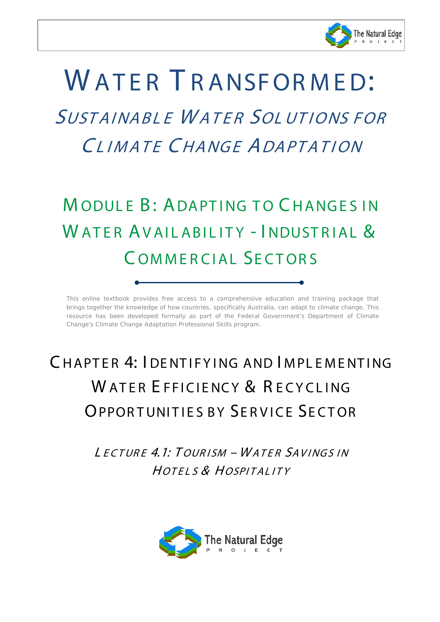

# WATER TRANSFORMED: SUSTAINABL E W ATER SOL UT IONS FOR CLIMATE CHANGE ADAPTATION

# MODULE B: ADAPTING TO CHANGES IN WATER AVAILABILITY - INDUSTRIAL & C OMMERCIAL SECTORS

*This online textbook provides free access to a comprehensive education and training package that brings together the knowledge of how countries, specifically Australia, can adapt to climate change. This*  resource has been developed formally as part of the Federal Government's Department of Climate *Change's Climate Change Adaptation Professional Skills program.* 

# CHAPTER 4: I DENTIFYING AND IMPLEMENTING WATER FEFICIENCY & RECYCLING **OPPORTUNITIES BY SERVICE SECTOR**

L ECTUR E 4.1: T OUR ISM – W ATER SAVINGS IN HOTEL S & HOSPITAL ITY

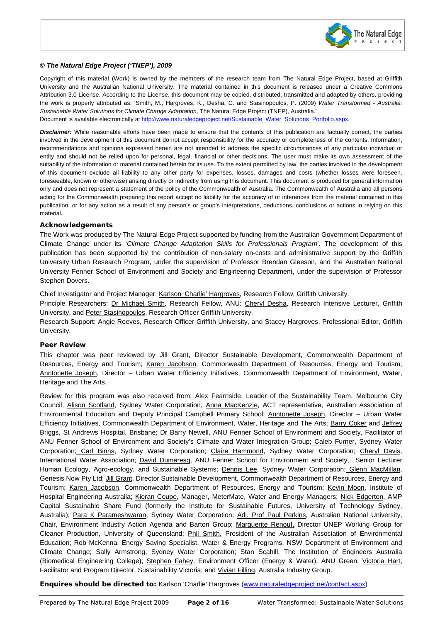

#### *© The Natural Edge Project ('TNEP'), 2009*

 $\overline{\phantom{a}}$ 

Copyright of this material (Work) is owned by the members of the research team from The Natural Edge Project, based at Griffith University and the Australian National University. The material contained in this document is released under a Creative Commons Attribution 3.0 License. According to the License, this document may be copied, distributed, transmitted and adapted by others, providing the work is properly attributed as: 'Smith, M., Hargroves, K., Desha, C. and Stasinopoulos, P. (2009) *Water Transformed - Australia: Sustainable Water Solutions for Climate Change Adaptation*, The Natural Edge Project (TNEP), Australia.' Document is available electronically at [http://www.naturaledgeproject.net/Sustainable\\_Water\\_Solutions\\_Portfolio.aspx.](http://www.naturaledgeproject.net/Sustainable_Water_Solutions_Portfolio.aspx)

*Disclaimer:* While reasonable efforts have been made to ensure that the contents of this publication are factually correct, the parties involved in the development of this document do not accept responsibility for the accuracy or completeness of the contents. Information, recommendations and opinions expressed herein are not intended to address the specific circumstances of any particular individual or entity and should not be relied upon for personal, legal, financial or other decisions. The user must make its own assessment of the suitability of the information or material contained herein for its use. To the extent permitted by law, the parties involved in the development of this document exclude all liability to any other party for expenses, losses, damages and costs (whether losses were foreseen, foreseeable, known or otherwise) arising directly or indirectly from using this document. This document is produced for general information only and does not represent a statement of the policy of the Commonwealth of Australia. The Commonwealth of Australia and all persons acting for the Commonwealth preparing this report accept no liability for the accuracy of or inferences from the material contained in this publication, or for any action as a result of any person's or group's interpretations, deductions, conclusions or actions in relying on this material.

#### *Acknowledgements*

The Work was produced by The Natural Edge Project supported by funding from the Australian Government Department of Climate Change under its '*Climate Change Adaptation Skills for Professionals Program*'. The development of this publication has been supported by the contribution of non-salary on-costs and administrative support by the Griffith University Urban Research Program, under the supervision of Professor Brendan Gleeson, and the Australian National University Fenner School of Environment and Society and Engineering Department, under the supervision of Professor Stephen Dovers.

Chief Investigator and Project Manager: Karlson 'Charlie' Hargroves, Research Fellow, Griffith University.

Principle Researchers: Dr Michael Smith, Research Fellow, ANU; Cheryl Desha, Research Intensive Lecturer, Griffith University, and Peter Stasinopoulos, Research Officer Griffith University.

Research Support: Angie Reeves, Research Officer Griffith University, and Stacey Hargroves, Professional Editor, Griffith University.

#### *Peer Review*

This chapter was peer reviewed by Jill Grant, Director Sustainable Development, Commonwealth Department of Resources, Energy and Tourism; Karen Jacobson, Commonwealth Department of Resources, Energy and Tourism; Anntonette Joseph, Director – Urban Water Efficiency Initiatives, Commonwealth Department of Environment, Water, Heritage and The Arts.

Review for this program was also received from: Alex Fearnside, Leader of the Sustainability Team, Melbourne City Council; Alison Scotland, Sydney Water Corporation; Anna MacKenzie, ACT representative, Australian Association of Environmental Education and Deputy Principal Campbell Primary School; Anntonette Joseph, Director – Urban Water Efficiency Initiatives, Commonwealth Department of Environment, Water, Heritage and The Arts; Barry Coker and Jeffrey Briggs, St Andrews Hospital, Brisbane; Dr Barry Newell, ANU Fenner School of Environment and Society, Facilitator of ANU Fenner School of Environment and Society's Climate and Water Integration Group; Caleb Furner, Sydney Water Corporation; Carl Binns, Sydney Water Corporation; Claire Hammond, Sydney Water Corporation; Cheryl Davis, International Water Association; David Dumaresq, ANU Fenner School for Environment and Society, Senior Lecturer Human Ecology, Agro-ecology, and Sustainable Systems; Dennis Lee, Sydney Water Corporation; Glenn MacMillan, Genesis Now Pty Ltd; Jill Grant, Director Sustainable Development, Commonwealth Department of Resources, Energy and Tourism; Karen Jacobson, Commonwealth Department of Resources, Energy and Tourism; Kevin Moon, Institute of Hospital Engineering Australia; Kieran Coupe, Manager, MeterMate, Water and Energy Managers; Nick Edgerton, AMP Capital Sustainable Share Fund (formerly the Institute for Sustainable Futures, University of Technology Sydney, Australia); Para K Parameshwaran, Sydney Water Corporation; Adj. Prof Paul Perkins, Australian National University, Chair, Environment Industry Action Agenda and Barton Group; Marguerite Renouf, Director UNEP Working Group for Cleaner Production, University of Queensland; *Phil Smith*, President of the Australian Association of Environmental Education; Rob McKenna, Energy Saving Specialist, Water & Energy Programs, NSW Department of Environment and Climate Change; Sally Armstrong, Sydney Water Corporation; Stan Scahill, The Institution of Engineers Australia (Biomedical Engineering College); Stephen Fahey, Environment Officer (Energy & Water), ANU Green; Victoria Hart, Facilitator and Program Director, Sustainability Victoria; and Vivian Filling, Australia Industry Group..

*Enquires should be directed to:* Karlson 'Charlie' Hargroves [\(www.naturaledgeproject.net/contact.aspx\)](http://www.naturaledgeproject.net/contact.aspx)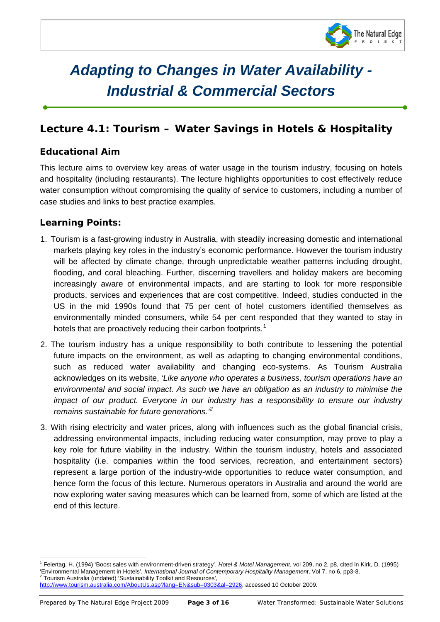

# *Adapting to Changes in Water Availability - Industrial & Commercial Sectors*

# *Lecture 4.1: Tourism – Water Savings in Hotels & Hospitality*

## **Educational Aim**

 $\overline{\phantom{a}}$ 

This lecture aims to overview key areas of water usage in the tourism industry, focusing on hotels and hospitality (including restaurants). The lecture highlights opportunities to cost effectively reduce water consumption without compromising the quality of service to customers, including a number of case studies and links to best practice examples.

### **Learning Points:**

- 1. Tourism is a fast-growing industry in Australia, with steadily increasing domestic and international markets playing key roles in the industry's economic performance. However the tourism industry will be affected by climate change, through unpredictable weather patterns including drought, flooding, and coral bleaching. Further, discerning travellers and holiday makers are becoming increasingly aware of environmental impacts, and are starting to look for more responsible products, services and experiences that are cost competitive. Indeed, studies conducted in the US in the mid 1990s found that 75 per cent of hotel customers identified themselves as environmentally minded consumers, while 54 per cent responded that they wanted to stay in hotels that are proactively reducing their carbon footprints.<sup>[1](#page-2-0)</sup>
- 2. The tourism industry has a unique responsibility to both contribute to lessening the potential future impacts on the environment, as well as adapting to changing environmental conditions, such as reduced water availability and changing eco-systems. As Tourism Australia acknowledges on its website, *'Like anyone who operates a business, tourism operations have an environmental and social impact. As such we have an obligation as an industry to minimise the impact of our product. Everyone in our industry has a responsibility to ensure our industry remains sustainable for future generations.'[2](#page-2-1)*
- 3. With rising electricity and water prices, along with influences such as the global financial crisis, addressing environmental impacts, including reducing water consumption, may prove to play a key role for future viability in the industry. Within the tourism industry, hotels and associated hospitality (i.e. companies within the food services, recreation, and entertainment sectors) represent a large portion of the industry-wide opportunities to reduce water consumption, and hence form the focus of this lecture. Numerous operators in Australia and around the world are now exploring water saving measures which can be learned from, some of which are listed at the end of this lecture.

<span id="page-2-1"></span>http://www.tourism.australia.com/AboutUs.asp?lang=EN&sub=0303&al=2926, accessed 10 October 2009.

<span id="page-2-0"></span><sup>1</sup> Feiertag, H. (1994) 'Boost sales with environment-driven strategy', *Hotel & Motel Management*, vol 209, no 2, p8, cited in Kirk, D. (1995) 'Environmental Management in Hotels', *International Journal of Contemporary Hospitality Management*, Vol 7, no 6, pp3-8.<br><sup>2</sup> Tourism Australia (undated) 'Sustainability Toolkit and Resources',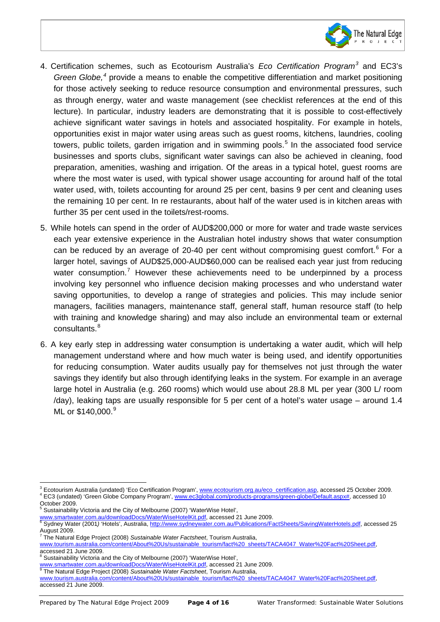

- 4. Certification schemes, such as Ecotourism Australia's *Eco Certification Program[3](#page-3-0)* and EC3's *Green Globe, [4](#page-3-1)* provide a means to enable the competitive differentiation and market positioning for those actively seeking to reduce resource consumption and environmental pressures, such as through energy, water and waste management (see checklist references at the end of this lecture). In particular, industry leaders are demonstrating that it is possible to cost-effectively achieve significant water savings in hotels and associated hospitality. For example in hotels, opportunities exist in major water using areas such as guest rooms, kitchens, laundries, cooling towers, public toilets, garden irrigation and in swimming pools.<sup>[5](#page-3-2)</sup> In the associated food service businesses and sports clubs, significant water savings can also be achieved in cleaning, food preparation, amenities, washing and irrigation. Of the areas in a typical hotel, guest rooms are where the most water is used, with typical shower usage accounting for around half of the total water used, with, toilets accounting for around 25 per cent, basins 9 per cent and cleaning uses the remaining 10 per cent. In re restaurants, about half of the water used is in kitchen areas with further 35 per cent used in the toilets/rest-rooms.
- 5. While hotels can spend in the order of AUD\$200,000 or more for water and trade waste services each year extensive experience in the Australian hotel industry shows that water consumption can be reduced by an average of 20-40 per cent without compromising guest comfort.<sup>[6](#page-3-3)</sup> For a larger hotel, savings of AUD\$25,000-AUD\$60,000 can be realised each year just from reducing water consumption.<sup>[7](#page-3-4)</sup> However these achievements need to be underpinned by a process involving key personnel who influence decision making processes and who understand water saving opportunities, to develop a range of strategies and policies. This may include senior managers, facilities managers, maintenance staff, general staff, human resource staff (to help with training and knowledge sharing) and may also include an environmental team or external consultants.<sup>[8](#page-3-5)</sup>
- 6. A key early step in addressing water consumption is undertaking a water audit, which will help management understand where and how much water is being used, and identify opportunities for reducing consumption. Water audits usually pay for themselves not just through the water savings they identify but also through identifying leaks in the system. For example in an average large hotel in Australia (e.g. 260 rooms) which would use about 28.8 ML per year (300 L/ room /day), leaking taps are usually responsible for 5 per cent of a hotel's water usage – around 1.4 ML or \$140,000.<sup>[9](#page-3-6)</sup>

<span id="page-3-3"></span>

- <span id="page-3-4"></span>[www.tourism.australia.com/content/About%20Us/sustainable\\_tourism/fact%20\\_sheets/TACA4047\\_Water%20Fact%20Sheet.pdf,](http://www.tourism.australia.com/content/About%20Us/sustainable_tourism/fact%20_sheets/TACA4047_Water%20Fact%20Sheet.pdf)
- accessed 21 June 2009.

<span id="page-3-1"></span><span id="page-3-0"></span><sup>&</sup>lt;sup>3</sup> Ecotourism Australia (undated) 'Eco Certification Program', [www.ecotourism.org.au/eco\\_certification.asp,](http://www.ecotourism.org.au/eco_certification.asp) accessed 25 October 2009.<br><sup>4</sup> EC3 (undated) 'Green Globe Company Program', www.ec3global.com/products-programs/gr

<span id="page-3-2"></span>October 2009. <sup>5</sup> Sustainability Victoria and the City of Melbourne (2007) 'WaterWise Hotel',

www.<u>smartwater.com.au/downloadDocs/WaterWiseHotelKit.pdf</u>, accessed 21 June 2009.<br><sup>6</sup> Sydney Water (2001*)* 'Hotels', Australia, <u>http://www.sydneywater.com.au/Publications/FactSheets/SavingWaterHotels.pdf</u>, accessed 25 August 2009. <sup>7</sup> The Natural Edge Project (2008) *Sustainable Water Factsheet*, Tourism Australia,

<span id="page-3-5"></span><sup>&</sup>lt;sup>8</sup> Sustainability Victoria and the City of Melbourne (2007) 'WaterWise Hotel',<br>www.smartwater.com.au/downloadDocs/WaterWiseHotelKit.pdf. accessed 21 June 2009.

<span id="page-3-6"></span>www.smartwater.com.au/docs-wise 2008) Sustainable Water Factsheet, Tourism Australia,

www.tourism.australia.com/content/About%20Us/sustainable\_tourism/fact%20\_sheets/TACA4047\_Water%20Fact%20Sheet.pdf, accessed 21 June 2009.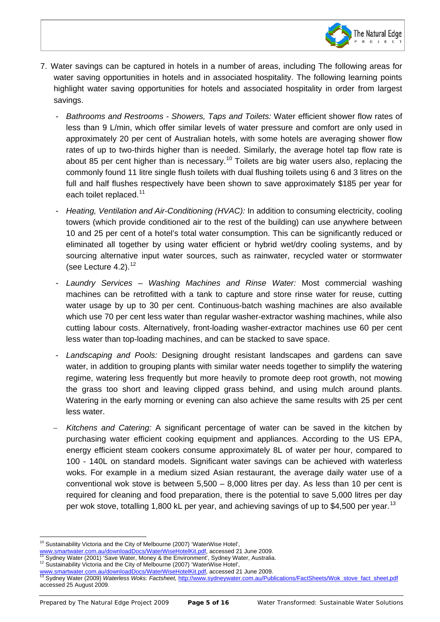

- 7. Water savings can be captured in hotels in a number of areas, including The following areas for water saving opportunities in hotels and in associated hospitality. The following learning points highlight water saving opportunities for hotels and associated hospitality in order from largest savings.
	- *Bathrooms and Restrooms - Showers, Taps and Toilets:* Water efficient shower flow rates of less than 9 L/min, which offer similar levels of water pressure and comfort are only used in approximately 20 per cent of Australian hotels, with some hotels are averaging shower flow rates of up to two-thirds higher than is needed. Similarly, the average hotel tap flow rate is about 85 per cent higher than is necessary.<sup>[10](#page-4-0)</sup> Toilets are big water users also, replacing the commonly found 11 litre single flush toilets with dual flushing toilets using 6 and 3 litres on the full and half flushes respectively have been shown to save approximately \$185 per year for each toilet replaced.<sup>[11](#page-4-1)</sup>
	- *Heating, Ventilation and Air-Conditioning (HVAC):* In addition to consuming electricity, cooling towers (which provide conditioned air to the rest of the building) can use anywhere between 10 and 25 per cent of a hotel's total water consumption. This can be significantly reduced or eliminated all together by using water efficient or hybrid wet/dry cooling systems, and by sourcing alternative input water sources, such as rainwater, recycled water or stormwater (see Lecture 4.2).<sup>[12](#page-4-2)</sup>
	- *Laundry Services – Washing Machines and Rinse Water:* Most commercial washing machines can be retrofitted with a tank to capture and store rinse water for reuse, cutting water usage by up to 30 per cent. Continuous-batch washing machines are also available which use 70 per cent less water than regular washer-extractor washing machines, while also cutting labour costs. Alternatively, front-loading washer-extractor machines use 60 per cent less water than top-loading machines, and can be stacked to save space.
	- *Landscaping and Pools:* Designing drought resistant landscapes and gardens can save water, in addition to grouping plants with similar water needs together to simplify the watering regime, watering less frequently but more heavily to promote deep root growth, not mowing the grass too short and leaving clipped grass behind, and using mulch around plants. Watering in the early morning or evening can also achieve the same results with 25 per cent less water.
	- − *Kitchens and Catering:* A significant percentage of water can be saved in the kitchen by purchasing water efficient cooking equipment and appliances. According to the US EPA, energy efficient steam cookers consume approximately 8L of water per hour, compared to 100 - 140L on standard models. Significant water savings can be achieved with waterless woks. For example in a medium sized Asian restaurant, the average daily water use of a conventional wok stove is between 5,500 – 8,000 litres per day. As less than 10 per cent is required for cleaning and food preparation, there is the potential to save 5,000 litres per day per wok stove, totalling 1,800 kL per year, and achieving savings of up to \$4,500 per year.<sup>[13](#page-4-3)</sup>

 $10$  Sustainability Victoria and the City of Melbourne (2007) 'WaterWise Hotel',

<span id="page-4-0"></span>[www.smartwater.com.au/downloadDocs/WaterWiseHotelKit.pdf,](http://www.smartwater.com.au/downloadDocs/WaterWiseHotelKit.pdf) accessed 21 June 2009.<br><sup>11</sup> Sydney Water (2001) 'Save Water, Money & the Environment', Sydney Water, Australia.<br><sup>12</sup> Sustainability Victoria and the City of Melbour

<span id="page-4-2"></span><span id="page-4-1"></span>

<span id="page-4-3"></span>ww.smartwater.com.au/downloadDocs/WaterWiseHotelKit.pdf, accessed 21 June 2009.<br>Sydney Water (2009) Waterless Woks: Factsheet, [http://www.sydneywater.com.au/Publications/FactSheets/Wok\\_stove\\_fact\\_sheet.pdf](http://www.sydneywater.com.au/Publications/FactSheets/Wok_stove_fact_sheet.pdf) accessed 25 August 2009.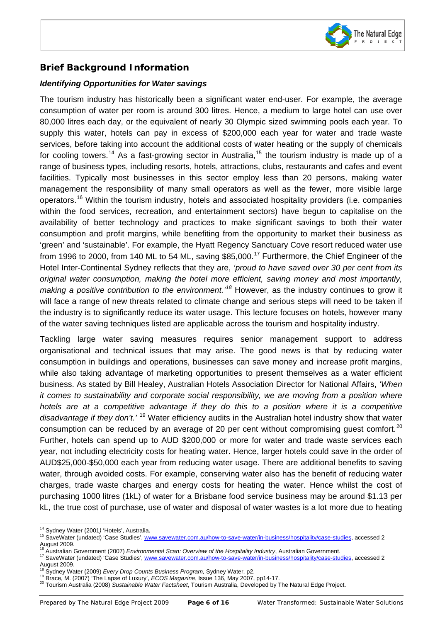

# **Brief Background Information**

 $\overline{\phantom{a}}$ 

#### *Identifying Opportunities for Water savings*

The tourism industry has historically been a significant water end-user. For example, the average consumption of water per room is around 300 litres. Hence, a medium to large hotel can use over 80,000 litres each day, or the equivalent of nearly 30 Olympic sized swimming pools each year. To supply this water, hotels can pay in excess of \$200,000 each year for water and trade waste services, before taking into account the additional costs of water heating or the supply of chemicals for cooling towers.<sup>[14](#page-5-0)</sup> As a fast-growing sector in Australia,<sup>[15](#page-5-1)</sup> the tourism industry is made up of a range of business types, including resorts, hotels, attractions, clubs, restaurants and cafes and event facilities. Typically most businesses in this sector employ less than 20 persons, making water management the responsibility of many small operators as well as the fewer, more visible large operators. [16](#page-5-2) Within the tourism industry, hotels and associated hospitality providers (i.e. companies within the food services, recreation, and entertainment sectors) have begun to capitalise on the availability of better technology and practices to make significant savings to both their water consumption and profit margins, while benefiting from the opportunity to market their business as 'green' and 'sustainable'. For example, the Hyatt Regency Sanctuary Cove resort reduced water use from 1996 to 2000, from 140 ML to 54 ML, saving \$85,000.<sup>[17](#page-5-3)</sup> Furthermore, the Chief Engineer of the Hotel Inter-Continental Sydney reflects that they are, *'proud to have saved over 30 per cent from its original water consumption, making the hotel more efficient, saving money and most importantly, making a positive contribution to the environment.'[18](#page-5-4)* However, as the industry continues to grow it will face a range of new threats related to climate change and serious steps will need to be taken if the industry is to significantly reduce its water usage. This lecture focuses on hotels, however many of the water saving techniques listed are applicable across the tourism and hospitality industry.

Tackling large water saving measures requires senior management support to address organisational and technical issues that may arise. The good news is that by reducing water consumption in buildings and operations, businesses can save money and increase profit margins, while also taking advantage of marketing opportunities to present themselves as a water efficient business. As stated by Bill Healey, Australian Hotels Association Director for National Affairs, *'When it comes to sustainability and corporate social responsibility, we are moving from a position where hotels are at a competitive advantage if they do this to a position where it is a competitive* disadvantage if they don't.' <sup>[19](#page-5-5)</sup> Water efficiency audits in the Australian hotel industry show that water consumption can be reduced by an average of [20](#page-5-6) per cent without compromising guest comfort.<sup>20</sup> Further, hotels can spend up to AUD \$200,000 or more for water and trade waste services each year, not including electricity costs for heating water. Hence, larger hotels could save in the order of AUD\$25,000-\$50,000 each year from reducing water usage. There are additional benefits to saving water, through avoided costs. For example, conserving water also has the benefit of reducing water charges, trade waste charges and energy costs for heating the water. Hence whilst the cost of purchasing 1000 litres (1kL) of water for a Brisbane food service business may be around \$1.13 per kL, the true cost of purchase, use of water and disposal of water wastes is a lot more due to heating

<sup>14</sup> Sydney Water (2001*)* 'Hotels', Australia.

<span id="page-5-1"></span><span id="page-5-0"></span><sup>15</sup> SaveWater (undated) 'Case Studies'[, www.savewater.com.au/how-to-save-water/in-business/hospitality/case-studies,](http://www.savewater.com.au/how-to-save-water/in-business/hospitality/case-studies) accessed 2 August 2009.<br><sup>16</sup> Australian Government (2007) *Environmental Scan: Overview of the Hospitality Industry*, Australian Government.

<span id="page-5-2"></span>

<span id="page-5-3"></span><sup>&</sup>lt;sup>17</sup> SaveWater (undated) 'Case Studies'[, www.savewater.com.au/how-to-save-water/in-business/hospitality/case-studies,](http://www.savewater.com.au/how-to-save-water/in-business/hospitality/case-studies) accessed 2 August 2009.<br><sup>18</sup> Sydney Water (2009) Every Drop Counts Business Program, Sydney Water, p2.

<span id="page-5-5"></span><span id="page-5-4"></span><sup>19</sup> Brace, M. (2007) 'The Lapse of Luxury', *ECOS Magazine*, Issue 136, May 2007, pp14-17.<br><sup>20</sup> Tourism Australia (2008) *Sustainable Water Factsheet*, Tourism Australia, Developed by The Natural Edge Project.

<span id="page-5-6"></span>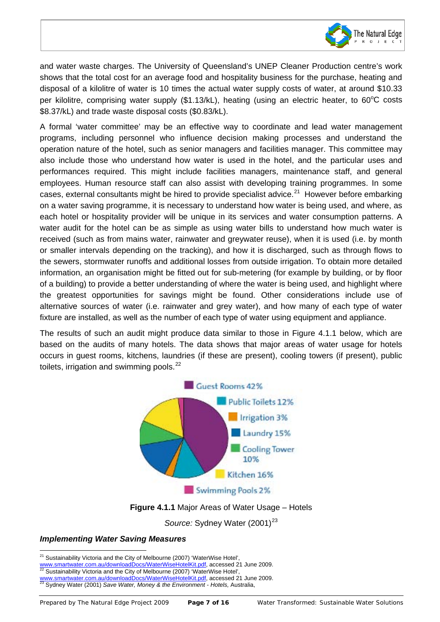

and water waste charges. The University of Queensland's UNEP Cleaner Production centre's work shows that the total cost for an average food and hospitality business for the purchase, heating and disposal of a kilolitre of water is 10 times the actual water supply costs of water, at around \$10.33 per kilolitre, comprising water supply (\$1.13/kL), heating (using an electric heater, to 60°C costs \$8.37/kL) and trade waste disposal costs (\$0.83/kL).

A formal 'water committee' may be an effective way to coordinate and lead water management programs, including personnel who influence decision making processes and understand the operation nature of the hotel, such as senior managers and facilities manager. This committee may also include those who understand how water is used in the hotel, and the particular uses and performances required. This might include facilities managers, maintenance staff, and general employees. Human resource staff can also assist with developing training programmes. In some cases, external consultants might be hired to provide specialist advice. $^{21}$  $^{21}$  $^{21}$  However before embarking on a water saving programme, it is necessary to understand how water is being used, and where, as each hotel or hospitality provider will be unique in its services and water consumption patterns. A water audit for the hotel can be as simple as using water bills to understand how much water is received (such as from mains water, rainwater and greywater reuse), when it is used (i.e. by month or smaller intervals depending on the tracking), and how it is discharged, such as through flows to the sewers, stormwater runoffs and additional losses from outside irrigation. To obtain more detailed information, an organisation might be fitted out for sub-metering (for example by building, or by floor of a building) to provide a better understanding of where the water is being used, and highlight where the greatest opportunities for savings might be found. Other considerations include use of alternative sources of water (i.e. rainwater and grey water), and how many of each type of water fixture are installed, as well as the number of each type of water using equipment and appliance.

The results of such an audit might produce data similar to those in Figure 4.1.1 below, which are based on the audits of many hotels. The data shows that major areas of water usage for hotels occurs in guest rooms, kitchens, laundries (if these are present), cooling towers (if present), public toilets, irrigation and swimming pools.<sup>[22](#page-6-1)</sup>



### **Figure 4.1.1** Major Areas of Water Usage – Hotels

Source: Sydney Water (2001)<sup>[23](#page-6-2)</sup>

#### *Implementing Water Saving Measures*

<span id="page-6-0"></span> $21$  Sustainability Victoria and the City of Melbourne (2007) 'WaterWise Hotel',

<span id="page-6-1"></span>

[www.smartwater.com.au/downloadDocs/WaterWiseHotelKit.pdf,](http://www.smartwater.com.au/downloadDocs/WaterWiseHotelKit.pdf) accessed 21 June 2009.<br><sup>22</sup> Sustainability Victoria and the City of Melbourne (2007) 'WaterWise Hotel',<br>www.smartwater.com.au/downloadDocs/WaterWiseHotelKit.pdf, ac

<span id="page-6-2"></span>www.smartwater.com.au/docs/minited.com/docs/wisehotelexit.pdf<br><sup>23</sup> Sydney Water (2001) *Save Water, Money & the Environment - Hotels, Australia,*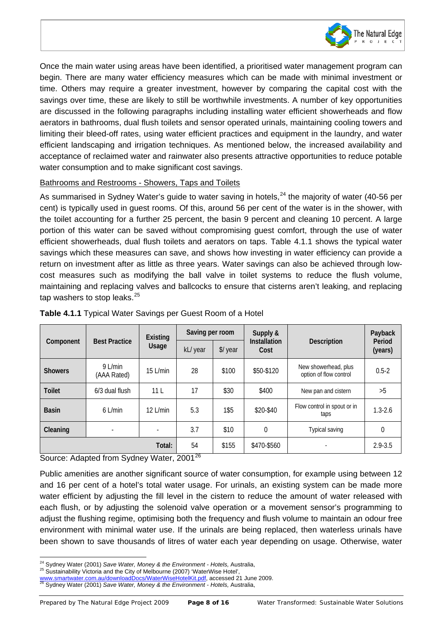

Once the main water using areas have been identified, a prioritised water management program can begin. There are many water efficiency measures which can be made with minimal investment or time. Others may require a greater investment, however by comparing the capital cost with the savings over time, these are likely to still be worthwhile investments. A number of key opportunities are discussed in the following paragraphs including installing water efficient showerheads and flow aerators in bathrooms, dual flush toilets and sensor operated urinals, maintaining cooling towers and limiting their bleed-off rates, using water efficient practices and equipment in the laundry, and water efficient landscaping and irrigation techniques. As mentioned below, the increased availability and acceptance of reclaimed water and rainwater also presents attractive opportunities to reduce potable water consumption and to make significant cost savings.

#### Bathrooms and Restrooms - Showers, Taps and Toilets

 $\overline{\phantom{a}}$ 

As summarised in Sydney Water's guide to water saving in hotels,  $24$  the majority of water (40-56 per cent) is typically used in guest rooms. Of this, around 56 per cent of the water is in the shower, with the toilet accounting for a further 25 percent, the basin 9 percent and cleaning 10 percent. A large portion of this water can be saved without compromising guest comfort, through the use of water efficient showerheads, dual flush toilets and aerators on taps. Table 4.1.1 shows the typical water savings which these measures can save, and shows how investing in water efficiency can provide a return on investment after as little as three years. Water savings can also be achieved through lowcost measures such as modifying the ball valve in toilet systems to reduce the flush volume, maintaining and replacing valves and ballcocks to ensure that cisterns aren't leaking, and replacing tap washers to stop leaks.<sup>[25](#page-7-1)</sup>

| Component      | <b>Best Practice</b>     | Existing<br>Usage        | Saving per room |         | Supply &                    |                                                | Payback           |
|----------------|--------------------------|--------------------------|-----------------|---------|-----------------------------|------------------------------------------------|-------------------|
|                |                          |                          | kL/ year        | \$/year | <b>Installation</b><br>Cost | <b>Description</b>                             | Period<br>(years) |
| <b>Showers</b> | $9$ L/min<br>(AAA Rated) | $15$ L/min               | 28              | \$100   | \$50-\$120                  | New showerhead, plus<br>option of flow control | $0.5 - 2$         |
| <b>Toilet</b>  | 6/3 dual flush           | 11 <sub>L</sub>          | 17              | \$30    | \$400                       | New pan and cistern                            | >5                |
| <b>Basin</b>   | $6$ L/min                | $12$ L/min               | 5.3             | 1\$5    | \$20-\$40                   | Flow control in spout or in<br>taps            | $1.3 - 2.6$       |
| Cleaning       | $\blacksquare$           | $\overline{\phantom{a}}$ | 3.7             | \$10    | 0                           | Typical saving                                 | $\mathbf 0$       |
| Total:         |                          |                          | 54              | \$155   | \$470-\$560                 | ٠                                              | $2.9 - 3.5$       |

#### **Table 4.1.1** Typical Water Savings per Guest Room of a Hotel

Source: Adapted from Sydney Water, 2001<sup>[26](#page-7-2)</sup>

Public amenities are another significant source of water consumption, for example using between 12 and 16 per cent of a hotel's total water usage. For urinals, an existing system can be made more water efficient by adjusting the fill level in the cistern to reduce the amount of water released with each flush, or by adjusting the solenoid valve operation or a movement sensor's programming to adjust the flushing regime, optimising both the frequency and flush volume to maintain an odour free environment with minimal water use. If the urinals are being replaced, then waterless urinals have been shown to save thousands of litres of water each year depending on usage. Otherwise, water

<span id="page-7-1"></span><span id="page-7-0"></span><sup>&</sup>lt;sup>24</sup> Sydney Water (2001) *Save Water, Money & the Environment - Hotels, Australia,*<br><sup>25</sup> Sustainability Victoria and the City of Melbourne (2007) 'WaterWise Hotel',<br>www.smartwater.com.au/downloadDocs/WaterWiseHotelKit.pdf,

<span id="page-7-2"></span>Sydney Water (2001) Save Water, Money & the Environment - Hotels, Australia,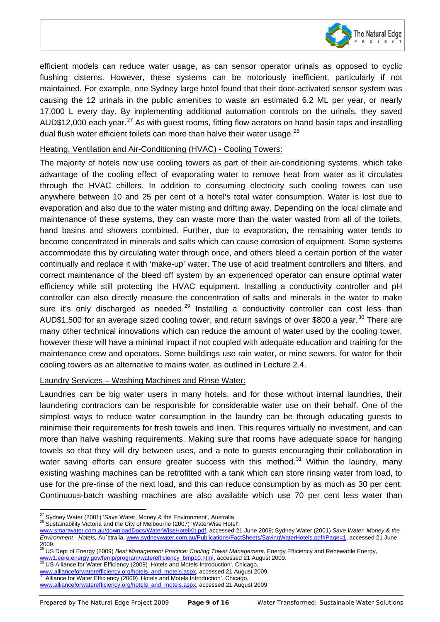

efficient models can reduce water usage, as can sensor operator urinals as opposed to cyclic flushing cisterns. However, these systems can be notoriously inefficient, particularly if not maintained. For example, one Sydney large hotel found that their door-activated sensor system was causing the 12 urinals in the public amenities to waste an estimated 6.2 ML per year, or nearly 17,000 L every day. By implementing additional automation controls on the urinals, they saved AUD\$12,000 each year.<sup>[27](#page-8-0)</sup> As with guest rooms, fitting flow aerators on hand basin taps and installing dual flush water efficient toilets can more than halve their water usage.<sup>[28](#page-8-1)</sup>

#### Heating, Ventilation and Air-Conditioning (HVAC) - Cooling Towers:

 $\overline{\phantom{a}}$ 

The majority of hotels now use cooling towers as part of their air-conditioning systems, which take advantage of the cooling effect of evaporating water to remove heat from water as it circulates through the HVAC chillers. In addition to consuming electricity such cooling towers can use anywhere between 10 and 25 per cent of a hotel's total water consumption. Water is lost due to evaporation and also due to the water misting and drifting away. Depending on the local climate and maintenance of these systems, they can waste more than the water wasted from all of the toilets, hand basins and showers combined. Further, due to evaporation, the remaining water tends to become concentrated in minerals and salts which can cause corrosion of equipment. Some systems accommodate this by circulating water through once, and others bleed a certain portion of the water continually and replace it with 'make-up' water. The use of acid treatment controllers and filters, and correct maintenance of the bleed off system by an experienced operator can ensure optimal water efficiency while still protecting the HVAC equipment. Installing a conductivity controller and pH controller can also directly measure the concentration of salts and minerals in the water to make sure it's only discharged as needed.<sup>[29](#page-8-2)</sup> Installing a conductivity controller can cost less than AUD\$1,500 for an average sized cooling tower, and return savings of over \$800 a year.<sup>[30](#page-8-3)</sup> There are many other technical innovations which can reduce the amount of water used by the cooling tower, however these will have a minimal impact if not coupled with adequate education and training for the maintenance crew and operators. Some buildings use rain water, or mine sewers, for water for their cooling towers as an alternative to mains water, as outlined in Lecture 2.4.

#### Laundry Services – Washing Machines and Rinse Water:

Laundries can be big water users in many hotels, and for those without internal laundries, their laundering contractors can be responsible for considerable water use on their behalf. One of the simplest ways to reduce water consumption in the laundry can be through educating guests to minimise their requirements for fresh towels and linen. This requires virtually no investment, and can more than halve washing requirements. Making sure that rooms have adequate space for hanging towels so that they will dry between uses, and a note to guests encouraging their collaboration in water saving efforts can ensure greater success with this method.<sup>[31](#page-8-4)</sup> Within the laundry, many existing washing machines can be retrofitted with a tank which can store rinsing water from load, to use for the pre-rinse of the next load, and this can reduce consumption by as much as 30 per cent. Continuous-batch washing machines are also available which use 70 per cent less water than

<span id="page-8-0"></span><sup>&</sup>lt;sup>27</sup> Svdnev Water (2001) 'Save Water, Money & the Environment', Australia,

<span id="page-8-1"></span><sup>&</sup>lt;sup>28</sup> Sustainability Victoria and the City of Melbourne (2007) 'WaterWise Hotel',

[www.smartwater.com.au/downloadDocs/WaterWiseHotelKit.pdf,](http://www.smartwater.com.au/downloadDocs/WaterWiseHotelKit.pdf) accessed 21 June 2009; Sydney Water (2001) *Save Water, Money & the Environment - Hotels,* Au`stralia[, www.sydneywater.com.au/Publications/FactSheets/SavingWaterHotels.pdf#Page=1, accessed 21 June](http://www.sydneywater.com.au/Publications/FactSheets/SavingWaterHotels.pdf#Page=1,  accessed 25 August 2009.  )   $\frac{2009}{29}$ .

<span id="page-8-2"></span><sup>29</sup> US Dept of Energy (2009) *Best Management Practice: Cooling Tower Management,* Energy Efficiency and Renewable Energy, [www1.eere.energy.gov/femp/program/waterefficiency\\_bmp10.html,](http://www1.eere.energy.gov/femp/program/waterefficiency_bmp10.html) accessed 21 August 2009.<br><sup>30</sup> US Alliance for Water Efficiency (2009) 'Hotels and Motels Introduction', Chicago,

<span id="page-8-4"></span><span id="page-8-3"></span>ww.allianceforwaterefficiency.org/hotels\_and\_motels.aspx, accessed 21 August 2009.<br>Alliance for Water Efficiency (2009) 'Hotels and Motels Introduction', Chicago,

[www.allianceforwaterefficiency.org/hotels\\_and\\_motels.aspx,](http://www.allianceforwaterefficiency.org/hotels_and_motels.aspx) accessed 21 August 2009.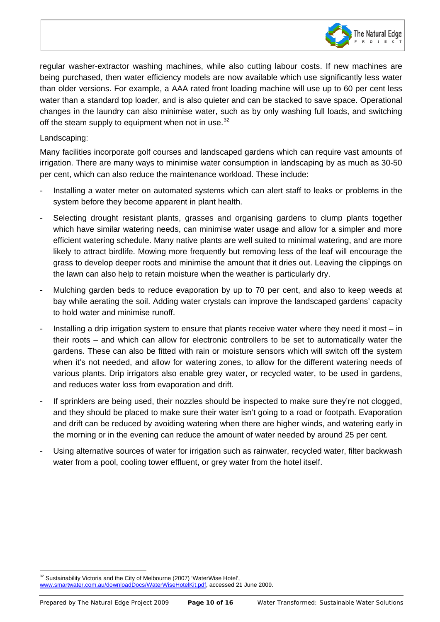

regular washer-extractor washing machines, while also cutting labour costs. If new machines are being purchased, then water efficiency models are now available which use significantly less water than older versions. For example, a AAA rated front loading machine will use up to 60 per cent less water than a standard top loader, and is also quieter and can be stacked to save space. Operational changes in the laundry can also minimise water, such as by only washing full loads, and switching off the steam supply to equipment when not in use. $32$ 

#### Landscaping:

 $\overline{\phantom{a}}$ 

Many facilities incorporate golf courses and landscaped gardens which can require vast amounts of irrigation. There are many ways to minimise water consumption in landscaping by as much as 30-50 per cent, which can also reduce the maintenance workload. These include:

- Installing a water meter on automated systems which can alert staff to leaks or problems in the system before they become apparent in plant health.
- Selecting drought resistant plants, grasses and organising gardens to clump plants together which have similar watering needs, can minimise water usage and allow for a simpler and more efficient watering schedule. Many native plants are well suited to minimal watering, and are more likely to attract birdlife. Mowing more frequently but removing less of the leaf will encourage the grass to develop deeper roots and minimise the amount that it dries out. Leaving the clippings on the lawn can also help to retain moisture when the weather is particularly dry.
- Mulching garden beds to reduce evaporation by up to 70 per cent, and also to keep weeds at bay while aerating the soil. Adding water crystals can improve the landscaped gardens' capacity to hold water and minimise runoff.
- Installing a drip irrigation system to ensure that plants receive water where they need it most  $-$  in their roots – and which can allow for electronic controllers to be set to automatically water the gardens. These can also be fitted with rain or moisture sensors which will switch off the system when it's not needed, and allow for watering zones, to allow for the different watering needs of various plants. Drip irrigators also enable grey water, or recycled water, to be used in gardens, and reduces water loss from evaporation and drift.
- If sprinklers are being used, their nozzles should be inspected to make sure they're not clogged, and they should be placed to make sure their water isn't going to a road or footpath. Evaporation and drift can be reduced by avoiding watering when there are higher winds, and watering early in the morning or in the evening can reduce the amount of water needed by around 25 per cent.
- Using alternative sources of water for irrigation such as rainwater, recycled water, filter backwash water from a pool, cooling tower effluent, or grey water from the hotel itself.

<span id="page-9-0"></span>Sustainability Victoria and the City of Melbourne (2007) 'WaterWise Hotel',

[www.smartwater.com.au/downloadDocs/WaterWiseHotelKit.pdf,](http://www.smartwater.com.au/downloadDocs/WaterWiseHotelKit.pdf) accessed 21 June 2009.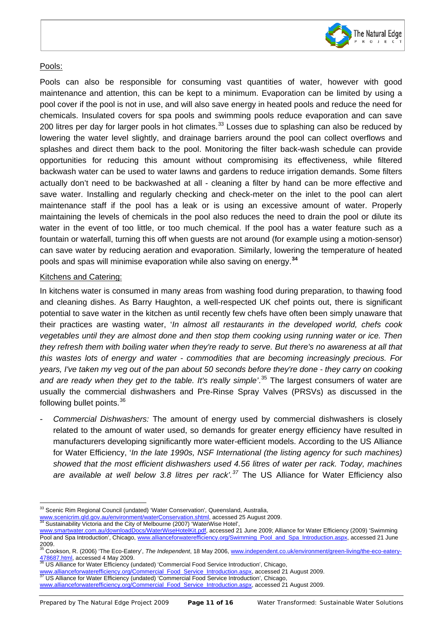

#### Pools:

 $\overline{\phantom{a}}$ 

Pools can also be responsible for consuming vast quantities of water, however with good maintenance and attention, this can be kept to a minimum. Evaporation can be limited by using a pool cover if the pool is not in use, and will also save energy in heated pools and reduce the need for chemicals. Insulated covers for spa pools and swimming pools reduce evaporation and can save 200 litres per day for larger pools in hot climates.<sup>[33](#page-10-0)</sup> Losses due to splashing can also be reduced by lowering the water level slightly, and drainage barriers around the pool can collect overflows and splashes and direct them back to the pool. Monitoring the filter back-wash schedule can provide opportunities for reducing this amount without compromising its effectiveness, while filtered backwash water can be used to water lawns and gardens to reduce irrigation demands. Some filters actually don't need to be backwashed at all - cleaning a filter by hand can be more effective and save water. Installing and regularly checking and check-meter on the inlet to the pool can alert maintenance staff if the pool has a leak or is using an excessive amount of water. Properly maintaining the levels of chemicals in the pool also reduces the need to drain the pool or dilute its water in the event of too little, or too much chemical. If the pool has a water feature such as a fountain or waterfall, turning this off when guests are not around (for example using a motion-sensor) can save water by reducing aeration and evaporation. Similarly, lowering the temperature of heated pools and spas will minimise evaporation while also saving on energy. **[34](#page-10-1)**

#### Kitchens and Catering:

In kitchens water is consumed in many areas from washing food during preparation, to thawing food and cleaning dishes. As Barry Haughton, a well-respected UK chef points out, there is significant potential to save water in the kitchen as until recently few chefs have often been simply unaware that their practices are wasting water, '*In almost all restaurants in the developed world, chefs cook vegetables until they are almost done and then stop them cooking using running water or ice. Then they refresh them with boiling water when they're ready to serve. But there's no awareness at all that this wastes lots of energy and water - commodities that are becoming increasingly precious. For years, I've taken my veg out of the pan about 50 seconds before they're done - they carry on cooking and are ready when they get to the table. It's really simple'*. [35](#page-10-2) The largest consumers of water are usually the commercial dishwashers and Pre-Rinse Spray Valves (PRSVs) as discussed in the following bullet points.[36](#page-10-3)

- *Commercial Dishwashers:* The amount of energy used by commercial dishwashers is closely related to the amount of water used, so demands for greater energy efficiency have resulted in manufacturers developing significantly more water-efficient models. According to the US Alliance for Water Efficiency, '*In the late 1990s, NSF International (the listing agency for such machines) showed that the most efficient dishwashers used 4.56 litres of water per rack. Today, machines are available at well below 3.8 litres per rack'. [37](#page-10-4)* The US Alliance for Water Efficiency also

<span id="page-10-1"></span>

<sup>33</sup> Scenic Rim Regional Council (undated) 'Water Conservation'*,* Queensland, Australia,

<span id="page-10-0"></span>[www.scenicrim.qld.gov.au/environment/waterConservation.shtml,](http://www.scenicrim.qld.gov.au/environment/waterConservation.shtml) accessed 25 August 2009.<br><sup>34</sup> Sustainability Victoria and the City of Melbourne (2007) 'WaterWise Hotel',

[www.smartwater.com.au/downloadDocs/WaterWiseHotelKit.pdf,](http://www.smartwater.com.au/downloadDocs/WaterWiseHotelKit.pdf) accessed 21 June 2009; Alliance for Water Efficiency (2009) 'Swimming Pool and Spa Introduction', Chicago, www.allianceforwaterefficiency.org/Swimming\_Pool\_and\_Spa\_Introduction.aspx, accessed 21 June 2009.

<span id="page-10-2"></span><sup>&</sup>lt;sup>3</sup> Cookson, R. (2006) 'The Eco-Eatery', *The Independent*, 18 May 2006, <u>www.independent.co.uk/environment/green-living/the-eco-eatery-</u><br>78687.html. accessed 4 May 2009.

<span id="page-10-3"></span><sup>478667.</sup>html, accessed 4 May 2009.<br><sup>36</sup> US Alliance for Water Efficiency (undated) 'Commercial Food Service Introduction', Chicago,

ww.allianceforwaterefficiency.org/Commercial\_Food\_Service\_Introduction.aspx, accessed 21 August 2009. US Alliance for Water Efficiency (undated) 'Commercial Food Service Introduction', Chicago,

<span id="page-10-4"></span>

[www.allianceforwaterefficiency.org/Commercial\\_Food\\_Service\\_Introduction.aspx,](http://www.allianceforwaterefficiency.org/Commercial_Food_Service_Introduction.aspx) accessed 21 August 2009.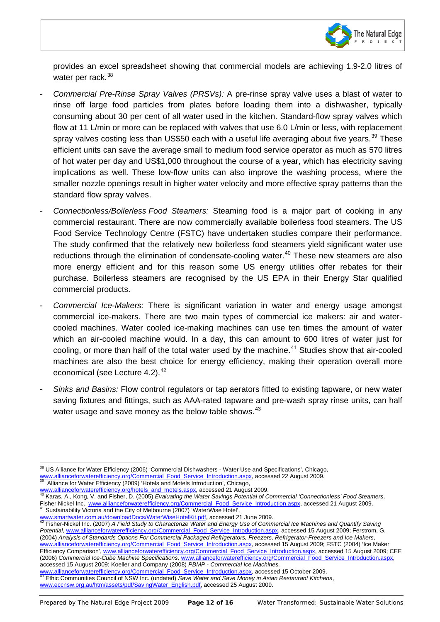

provides an excel spreadsheet showing that commercial models are achieving 1.9-2.0 litres of water per rack.<sup>[38](#page-11-0)</sup>

 $\overline{\phantom{a}}$ 

- *Commercial Pre-Rinse Spray Valves (PRSVs):* A pre-rinse spray valve uses a blast of water to rinse off large food particles from plates before loading them into a dishwasher, typically consuming about 30 per cent of all water used in the kitchen. Standard-flow spray valves which flow at 11 L/min or more can be replaced with valves that use 6.0 L/min or less, with replacement spray valves costing less than US\$50 each with a useful life averaging about five years.<sup>[39](#page-11-1)</sup> These efficient units can save the average small to medium food service operator as much as 570 litres of hot water per day and US\$1,000 throughout the course of a year, which has electricity saving implications as well. These low-flow units can also improve the washing process, where the smaller nozzle openings result in higher water velocity and more effective spray patterns than the standard flow spray valves.
- *Connectionless/Boilerless Food Steamers:* Steaming food is a major part of cooking in any commercial restaurant. There are now commercially available boilerless food steamers. The US Food Service Technology Centre (FSTC) have undertaken studies compare their performance. The study confirmed that the relatively new boilerless food steamers yield significant water use reductions through the elimination of condensate-cooling water.<sup>[40](#page-11-2)</sup> These new steamers are also more energy efficient and for this reason some US energy utilities offer rebates for their purchase. Boilerless steamers are recognised by the US EPA in their Energy Star qualified commercial products.
- *Commercial Ice-Makers:* There is significant variation in water and energy usage amongst commercial ice-makers. There are two main types of commercial ice makers: air and watercooled machines. Water cooled ice-making machines can use ten times the amount of water which an air-cooled machine would. In a day, this can amount to 600 litres of water just for cooling, or more than half of the total water used by the machine. [41](#page-11-3) Studies show that air-cooled machines are also the best choice for energy efficiency, making their operation overall more economical (see Lecture 4.2).<sup>[42](#page-11-4)</sup>
- *Sinks and Basins:* Flow control regulators or tap aerators fitted to existing tapware, or new water saving fixtures and fittings, such as AAA-rated tapware and pre-wash spray rinse units, can half water usage and save money as the below table shows.<sup>[43](#page-11-5)</sup>

[www.allianceforwaterefficiency.org/Commercial\\_Food\\_Service\\_Introduction.aspx,](http://www.allianceforwaterefficiency.org/Commercial_Food_Service_Introduction.aspx) accessed 15 October 2009.<br><sup>3</sup> Ethic Communities Council of NSW Inc. (undated) *Save Water and Save Money in Asian Restaurant Kitchens*,

<span id="page-11-0"></span><sup>&</sup>lt;sup>38</sup> US Alliance for Water Efficiency (2006) 'Commercial Dishwashers - Water Use and Specifications', Chicago, [www.allianceforwaterefficiency.org/Commercial\\_Food\\_Service\\_Introduction.aspx,](http://www.allianceforwaterefficiency.org/Commercial_Food_Service_Introduction.aspx) accessed 22 August 2009.<br><sup>39</sup> Alliance for Water Efficiency (2009) 'Hotels and Motels Introduction', Chicago,

<span id="page-11-2"></span><span id="page-11-1"></span>[www.allianceforwaterefficiency.org/hotels\\_and\\_motels.aspx,](http://www.allianceforwaterefficiency.org/hotels_and_motels.aspx) accessed 21 August 2009.<br><sup>40</sup> Karas, A., Kong, V. and Fisher, D. (2005) *Evaluating the Water Savings Potential of Commercial 'Connectionless' Food Steamers*.<br>Fish Fisher Nickel Inc., www.allianceforwaterefficiency.org/CommercialToomas.commercial<br><sup>41</sup> Sustainability Victoria and the City of Melbourne (2007) 'WaterWise Hotel',<br>www.smartwater.com.au/downloadDocs/WaterWiseHotelKit.pdf,

<span id="page-11-3"></span>

<span id="page-11-4"></span>www.smartwater.com.au/downloadDocs/water.com/metal/wise-reserved 21 June 2009. 42 Fisher-Nickel Inc. (2007) *A Field Study to Characterize Water and Energy Use of Commercial Ice Machines and Quantify Saving Commercial inc Potential*[, www.allianceforwaterefficiency.org/Commercial\\_Food\\_Service\\_Introduction.aspx,](http://www.allianceforwaterefficiency.org/Commercial_Food_Service_Introduction.aspx) accessed 15 August 2009; Ferstrom, G. (2004) *Analysis of Standards Options For Commercial Packaged Refrigerators, Freezers, Refrigerator-Freezers and Ice Makers*, [www.allianceforwaterefficiency.org/Commercial\\_Food\\_Service\\_Introduction.aspx,](http://www.allianceforwaterefficiency.org/Commercial_Food_Service_Introduction.aspx) accessed 15 August 2009; FSTC (2004) 'Ice Maker Efficiency Comparison', [www.allianceforwaterefficiency.org/Commercial\\_Food\\_Service\\_Introduction.aspx,](http://www.allianceforwaterefficiency.org/Commercial_Food_Service_Introduction.aspx) accessed 15 August 2009; CEE (2006) *Commercial Ice-Cube Machine Specifications,* [www.allianceforwaterefficiency.org/Commercial\\_Food\\_Service\\_Introduction.aspx,](http://www.allianceforwaterefficiency.org/Commercial_Food_Service_Introduction.aspx) accessed 15 August 2009; Koeller and Company (2008) *PBMP - Commercial Ice Machines,*

<span id="page-11-5"></span>[www.eccnsw.org.au/htm/assets/pdf/SavingWater\\_English.pdf,](http://www.eccnsw.org.au/htm/assets/pdf/SavingWater_English.pdf) accessed 25 August 2009.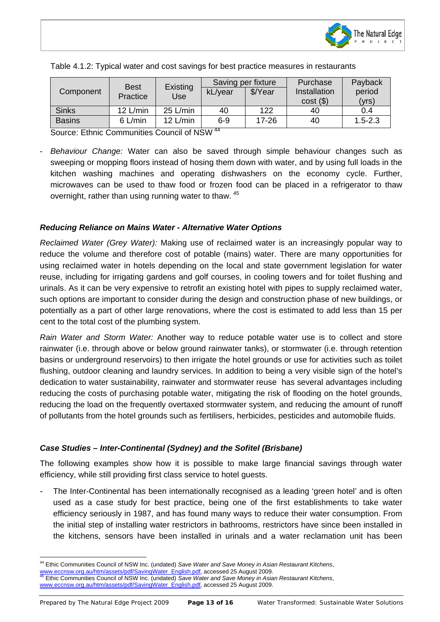

| Component     | <b>Best</b><br>Practice | Existing<br>Use | Saving per fixture |           | Purchase     | Payback     |
|---------------|-------------------------|-----------------|--------------------|-----------|--------------|-------------|
|               |                         |                 | kL/year            | \$/Year   | Installation | period      |
|               |                         |                 |                    |           | $cost($ \$)  | 'yrs)       |
| <b>Sinks</b>  | $12$ L/min              | $25$ L/min      | 40                 | 122       | 40           | 0.4         |
| <b>Basins</b> | $6$ L/min               | $12$ L/min      | $6 - 9$            | $17 - 26$ | 40           | $1.5 - 2.3$ |

|  |  | Table 4.1.2: Typical water and cost savings for best practice measures in restaurants |
|--|--|---------------------------------------------------------------------------------------|
|  |  |                                                                                       |

Source: Ethnic Communities Council of NSW [44](#page-12-0)

 $\overline{\phantom{a}}$ 

- *Behaviour Change:* Water can also be saved through simple behaviour changes such as sweeping or mopping floors instead of hosing them down with water, and by using full loads in the kitchen washing machines and operating dishwashers on the economy cycle. Further, microwaves can be used to thaw food or frozen food can be placed in a refrigerator to thaw overnight, rather than using running water to thaw. [45](#page-12-1)

#### *Reducing Reliance on Mains Water - Alternative Water Options*

*Reclaimed Water (Grey Water):* Making use of reclaimed water is an increasingly popular way to reduce the volume and therefore cost of potable (mains) water. There are many opportunities for using reclaimed water in hotels depending on the local and state government legislation for water reuse, including for irrigating gardens and golf courses, in cooling towers and for toilet flushing and urinals. As it can be very expensive to retrofit an existing hotel with pipes to supply reclaimed water, such options are important to consider during the design and construction phase of new buildings, or potentially as a part of other large renovations, where the cost is estimated to add less than 15 per cent to the total cost of the plumbing system.

*Rain Water and Storm Water:* Another way to reduce potable water use is to collect and store rainwater (i.e. through above or below ground rainwater tanks), or stormwater (i.e. through retention basins or underground reservoirs) to then irrigate the hotel grounds or use for activities such as toilet flushing, outdoor cleaning and laundry services. In addition to being a very visible sign of the hotel's dedication to water sustainability, rainwater and stormwater reuse has several advantages including reducing the costs of purchasing potable water, mitigating the risk of flooding on the hotel grounds, reducing the load on the frequently overtaxed stormwater system, and reducing the amount of runoff of pollutants from the hotel grounds such as fertilisers, herbicides, pesticides and automobile fluids.

#### *Case Studies – Inter-Continental (Sydney) and the Sofitel (Brisbane)*

The following examples show how it is possible to make large financial savings through water efficiency, while still providing first class service to hotel guests.

The Inter-Continental has been internationally recognised as a leading 'green hotel' and is often used as a case study for best practice, being one of the first establishments to take water efficiency seriously in 1987, and has found many ways to reduce their water consumption. From the initial step of installing water restrictors in bathrooms, restrictors have since been installed in the kitchens, sensors have been installed in urinals and a water reclamation unit has been

<span id="page-12-0"></span><sup>44</sup> Ethic Communities Council of NSW Inc. (undated) *Save Water and Save Money in Asian Restaurant Kitchens*,

<span id="page-12-1"></span>

ww.eccnsw.org.au/htm/assets/pdf/SavingWater\_English.pdf, accessed 25 August 2009.<br>Ethic Communities Council of NSW Inc. (undated) Save Water and Save Money in Asian Restaurant Kitchens, [www.eccnsw.org.au/htm/assets/pdf/SavingWater\\_English.pdf,](http://www.eccnsw.org.au/htm/assets/pdf/SavingWater_English.pdf) accessed 25 August 2009.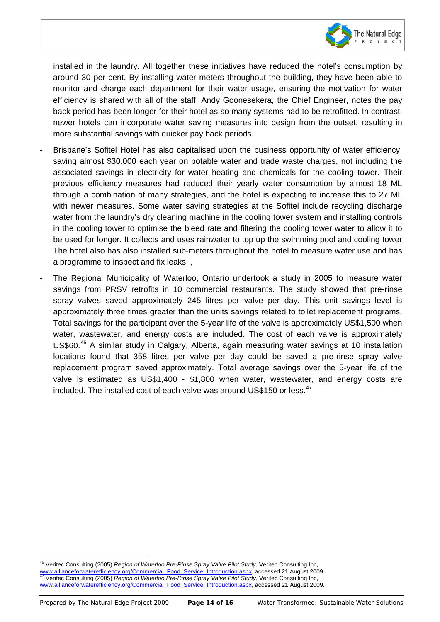

installed in the laundry. All together these initiatives have reduced the hotel's consumption by around 30 per cent. By installing water meters throughout the building, they have been able to monitor and charge each department for their water usage, ensuring the motivation for water efficiency is shared with all of the staff. Andy Goonesekera, the Chief Engineer, notes the pay back period has been longer for their hotel as so many systems had to be retrofitted. In contrast, newer hotels can incorporate water saving measures into design from the outset, resulting in more substantial savings with quicker pay back periods.

- Brisbane's Sofitel Hotel has also capitalised upon the business opportunity of water efficiency, saving almost \$30,000 each year on potable water and trade waste charges, not including the associated savings in electricity for water heating and chemicals for the cooling tower. Their previous efficiency measures had reduced their yearly water consumption by almost 18 ML through a combination of many strategies, and the hotel is expecting to increase this to 27 ML with newer measures. Some water saving strategies at the Sofitel include recycling discharge water from the laundry's dry cleaning machine in the cooling tower system and installing controls in the cooling tower to optimise the bleed rate and filtering the cooling tower water to allow it to be used for longer. It collects and uses rainwater to top up the swimming pool and cooling tower The hotel also has also installed sub-meters throughout the hotel to measure water use and has a programme to inspect and fix leaks. ,
- The Regional Municipality of Waterloo, Ontario undertook a study in 2005 to measure water savings from PRSV retrofits in 10 commercial restaurants. The study showed that pre-rinse spray valves saved approximately 245 litres per valve per day. This unit savings level is approximately three times greater than the units savings related to toilet replacement programs. Total savings for the participant over the 5-year life of the valve is approximately US\$1,500 when water, wastewater, and energy costs are included. The cost of each valve is approximately US\$60.<sup>[46](#page-13-0)</sup> A similar study in Calgary, Alberta, again measuring water savings at 10 installation locations found that 358 litres per valve per day could be saved a pre-rinse spray valve replacement program saved approximately. Total average savings over the 5-year life of the valve is estimated as US\$1,400 - \$1,800 when water, wastewater, and energy costs are included. The installed cost of each valve was around US\$150 or less.<sup>[47](#page-13-1)</sup>

<span id="page-13-1"></span><span id="page-13-0"></span><sup>46</sup> Veritec Consulting (2005) *Region of Waterloo Pre-Rinse Spray Valve Pilot Study*, Veritec Consulting Inc, [www.allianceforwaterefficiency.org/Commercial\\_Food\\_Service\\_Introduction.aspx,](http://www.allianceforwaterefficiency.org/Commercial_Food_Service_Introduction.aspx) accessed 21 August 2009. <sup>47</sup> Veritec Consulting (2005) *Region of Waterloo Pre-Rinse Spray Valve Pilot Study*, Veritec Consulting Inc, [www.allianceforwaterefficiency.org/Commercial\\_Food\\_Service\\_Introduction.aspx,](http://www.allianceforwaterefficiency.org/Commercial_Food_Service_Introduction.aspx) accessed 21 August 2009.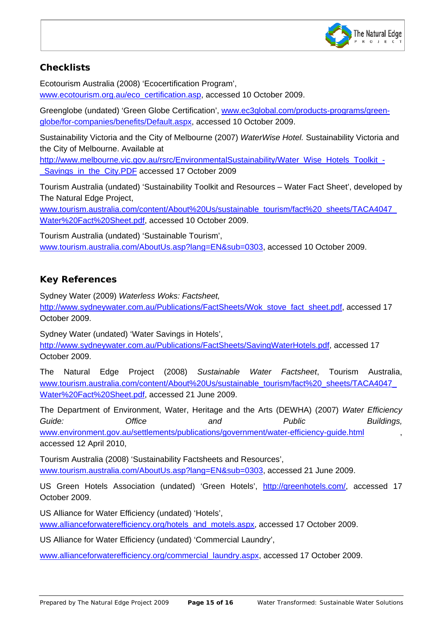

# **Checklists**

 $\overline{\phantom{a}}$ 

Ecotourism Australia (2008) 'Ecocertification Program', [www.ecotourism.org.au/eco\\_certification.asp,](http://www.ecotourism.org.au/eco_certification.asp) accessed 10 October 2009.

Greenglobe (undated) 'Green Globe Certification', [www.ec3global.com/products-programs/green](http://www.ec3global.com/products-programs/green-globe/for-companies/benefits/Default.aspx)[globe/for-companies/benefits/Default.aspx,](http://www.ec3global.com/products-programs/green-globe/for-companies/benefits/Default.aspx) accessed 10 October 2009.

Sustainability Victoria and the City of Melbourne (2007) *WaterWise Hotel.* Sustainability Victoria and the City of Melbourne. Available at

[http://www.melbourne.vic.gov.au/rsrc/EnvironmentalSustainability/Water\\_Wise\\_Hotels\\_Toolkit\\_-](http://www.melbourne.vic.gov.au/rsrc/EnvironmentalSustainability/Water_Wise_Hotels_Toolkit_-_Savings_in_the_City.PDF) Savings\_in\_the\_City.PDF accessed 17 October 2009

Tourism Australia (undated) 'Sustainability Toolkit and Resources – Water Fact Sheet', developed by The Natural Edge Project,

[www.tourism.australia.com/content/About%20Us/sustainable\\_tourism/fact%20\\_sheets/TACA4047\\_](http://www.tourism.australia.com/content/About%20Us/sustainable_tourism/fact%20_sheets/TACA4047_Water%20Fact%20Sheet.pdf) [Water%20Fact%20Sheet.pdf,](http://www.tourism.australia.com/content/About%20Us/sustainable_tourism/fact%20_sheets/TACA4047_Water%20Fact%20Sheet.pdf) accessed 10 October 2009.

Tourism Australia (undated) 'Sustainable Tourism', [www.tourism.australia.com/AboutUs.asp?lang=EN&sub=0303,](http://www.tourism.australia.com/AboutUs.asp?lang=EN&sub=0303) accessed 10 October 2009.

# **Key References**

Sydney Water (2009) *Waterless Woks: Factsheet,*

[http://www.sydneywater.com.au/Publications/FactSheets/Wok\\_stove\\_fact\\_sheet.pdf,](http://www.sydneywater.com.au/Publications/FactSheets/Wok_stove_fact_sheet.pdf) accessed 17 October 2009.

Sydney Water (undated) 'Water Savings in Hotels', [http://www.sydneywater.com.au/Publications/FactSheets/SavingWaterHotels.pdf,](http://www.sydneywater.com.au/Publications/FactSheets/SavingWaterHotels.pdf) accessed 17 October 2009.

The Natural Edge Project (2008) *Sustainable Water Factsheet*, Tourism Australia, [www.tourism.australia.com/content/About%20Us/sustainable\\_tourism/fact%20\\_sheets/TACA4047\\_](http://www.tourism.australia.com/content/About%20Us/sustainable_tourism/fact%20_sheets/TACA4047_Water%20Fact%20Sheet.pdf) [Water%20Fact%20Sheet.pdf,](http://www.tourism.australia.com/content/About%20Us/sustainable_tourism/fact%20_sheets/TACA4047_Water%20Fact%20Sheet.pdf) accessed 21 June 2009.

The Department of Environment, Water, Heritage and the Arts (DEWHA) (2007) *Water Efficiency Guide: Office and Public Buildings,*  [www.environment.gov.au/settlements/publications/government/water-efficiency-guide.html](http://www.environment.gov.au/settlements/publications/government/water-efficiency-guide.html) accessed 12 April 2010,

Tourism Australia (2008) 'Sustainability Factsheets and Resources', [www.tourism.australia.com/AboutUs.asp?lang=EN&sub=0303,](http://www.tourism.australia.com/AboutUs.asp?lang=EN&sub=0303) accessed 21 June 2009.

US Green Hotels Association (undated) 'Green Hotels', [http://greenhotels.com/,](http://greenhotels.com/) accessed 17 October 2009.

US Alliance for Water Efficiency (undated) 'Hotels', www.allianceforwaterefficiency.org/hotels\_and\_motels.aspx, accessed 17 October 2009.

US Alliance for Water Efficiency (undated) 'Commercial Laundry',

www.allianceforwaterefficiency.org/commercial\_laundry.aspx, accessed 17 October 2009.